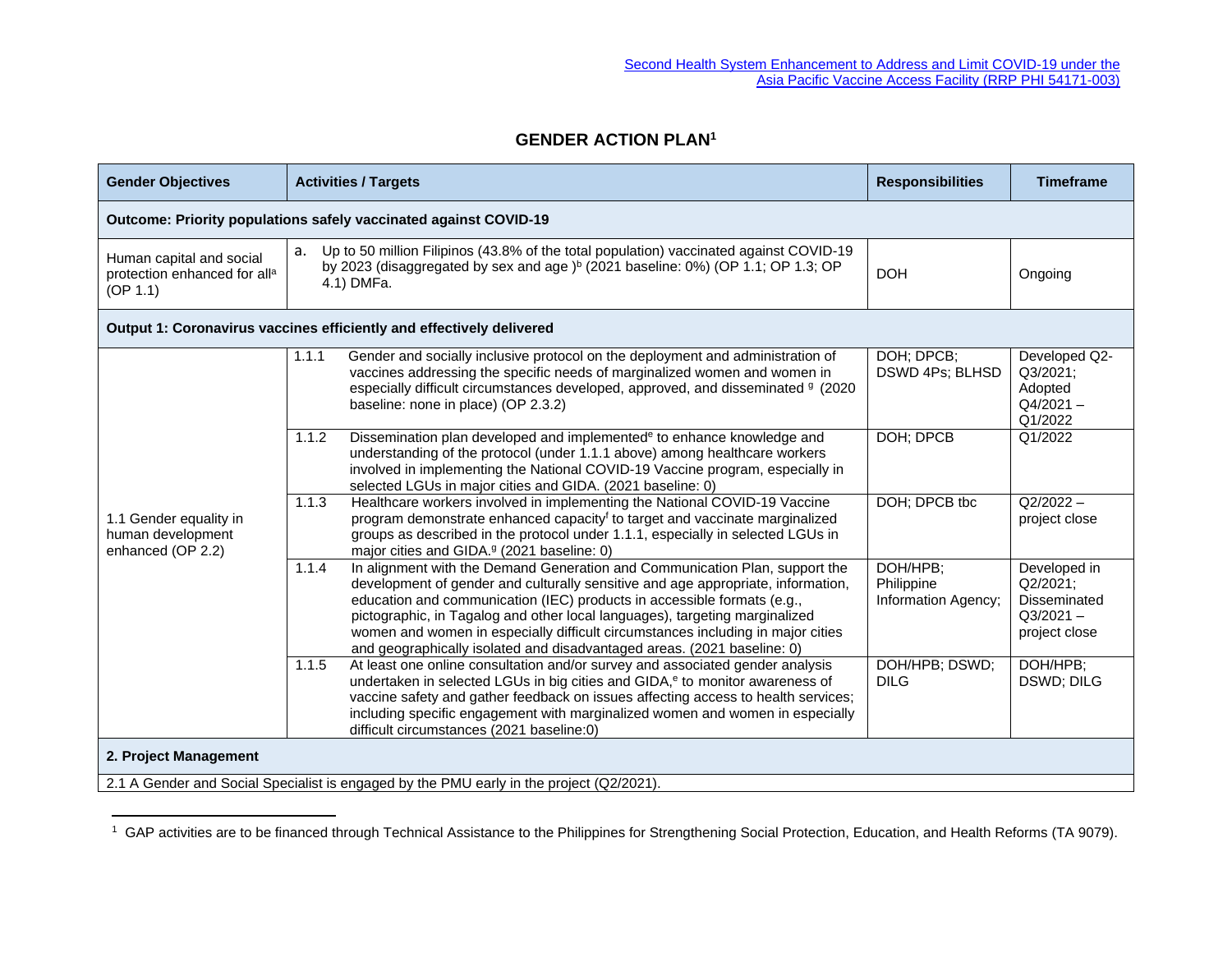## **GENDER ACTION PLAN<sup>1</sup>**

| <b>Gender Objectives</b>                                                                                          | <b>Activities / Targets</b>                                                                                                                                                                                                                                                                                                                                                                                                                                                                      | <b>Responsibilities</b>                       | <b>Timeframe</b>                                                         |  |  |
|-------------------------------------------------------------------------------------------------------------------|--------------------------------------------------------------------------------------------------------------------------------------------------------------------------------------------------------------------------------------------------------------------------------------------------------------------------------------------------------------------------------------------------------------------------------------------------------------------------------------------------|-----------------------------------------------|--------------------------------------------------------------------------|--|--|
| Outcome: Priority populations safely vaccinated against COVID-19                                                  |                                                                                                                                                                                                                                                                                                                                                                                                                                                                                                  |                                               |                                                                          |  |  |
| Human capital and social<br>protection enhanced for all <sup>a</sup><br>(OP 1.1)                                  | Up to 50 million Filipinos (43.8% of the total population) vaccinated against COVID-19<br>a.<br>by 2023 (disaggregated by sex and age) <sup>b</sup> (2021 baseline: 0%) (OP 1.1; OP 1.3; OP<br>4.1) DMFa.                                                                                                                                                                                                                                                                                        | <b>DOH</b>                                    | Ongoing                                                                  |  |  |
| Output 1: Coronavirus vaccines efficiently and effectively delivered                                              |                                                                                                                                                                                                                                                                                                                                                                                                                                                                                                  |                                               |                                                                          |  |  |
| 1.1 Gender equality in<br>human development<br>enhanced (OP 2.2)                                                  | Gender and socially inclusive protocol on the deployment and administration of<br>1.1.1<br>vaccines addressing the specific needs of marginalized women and women in<br>especially difficult circumstances developed, approved, and disseminated 9 (2020<br>baseline: none in place) (OP 2.3.2)                                                                                                                                                                                                  | DOH; DPCB;<br>DSWD 4Ps; BLHSD                 | Developed Q2-<br>Q3/2021;<br>Adopted<br>$Q4/2021 -$<br>Q1/2022           |  |  |
|                                                                                                                   | 1.1.2<br>Dissemination plan developed and implemented <sup>e</sup> to enhance knowledge and<br>understanding of the protocol (under 1.1.1 above) among healthcare workers<br>involved in implementing the National COVID-19 Vaccine program, especially in<br>selected LGUs in major cities and GIDA. (2021 baseline: 0)                                                                                                                                                                         | DOH; DPCB                                     | Q1/2022                                                                  |  |  |
|                                                                                                                   | Healthcare workers involved in implementing the National COVID-19 Vaccine<br>1.1.3<br>program demonstrate enhanced capacity <sup>f</sup> to target and vaccinate marginalized<br>groups as described in the protocol under 1.1.1, especially in selected LGUs in<br>major cities and GIDA. <sup>9</sup> (2021 baseline: 0)                                                                                                                                                                       | DOH; DPCB tbc                                 | $Q2/2022 -$<br>project close                                             |  |  |
|                                                                                                                   | In alignment with the Demand Generation and Communication Plan, support the<br>1.1.4<br>development of gender and culturally sensitive and age appropriate, information,<br>education and communication (IEC) products in accessible formats (e.g.,<br>pictographic, in Tagalog and other local languages), targeting marginalized<br>women and women in especially difficult circumstances including in major cities<br>and geographically isolated and disadvantaged areas. (2021 baseline: 0) | DOH/HPB:<br>Philippine<br>Information Agency; | Developed in<br>Q2/2021:<br>Disseminated<br>$Q3/2021 -$<br>project close |  |  |
|                                                                                                                   | At least one online consultation and/or survey and associated gender analysis<br>$\overline{1.1.5}$<br>undertaken in selected LGUs in big cities and GIDA, <sup>e</sup> to monitor awareness of<br>vaccine safety and gather feedback on issues affecting access to health services;<br>including specific engagement with marginalized women and women in especially<br>difficult circumstances (2021 baseline:0)                                                                               | DOH/HPB; DSWD;<br><b>DILG</b>                 | DOH/HPB;<br>DSWD; DILG                                                   |  |  |
| 2. Project Management<br>2.1 A Gender and Social Specialist is engaged by the PMU early in the project (Q2/2021). |                                                                                                                                                                                                                                                                                                                                                                                                                                                                                                  |                                               |                                                                          |  |  |

<sup>&</sup>lt;sup>1</sup> GAP activities are to be financed through Technical Assistance to the Philippines for Strengthening Social Protection, Education, and Health Reforms (TA 9079).